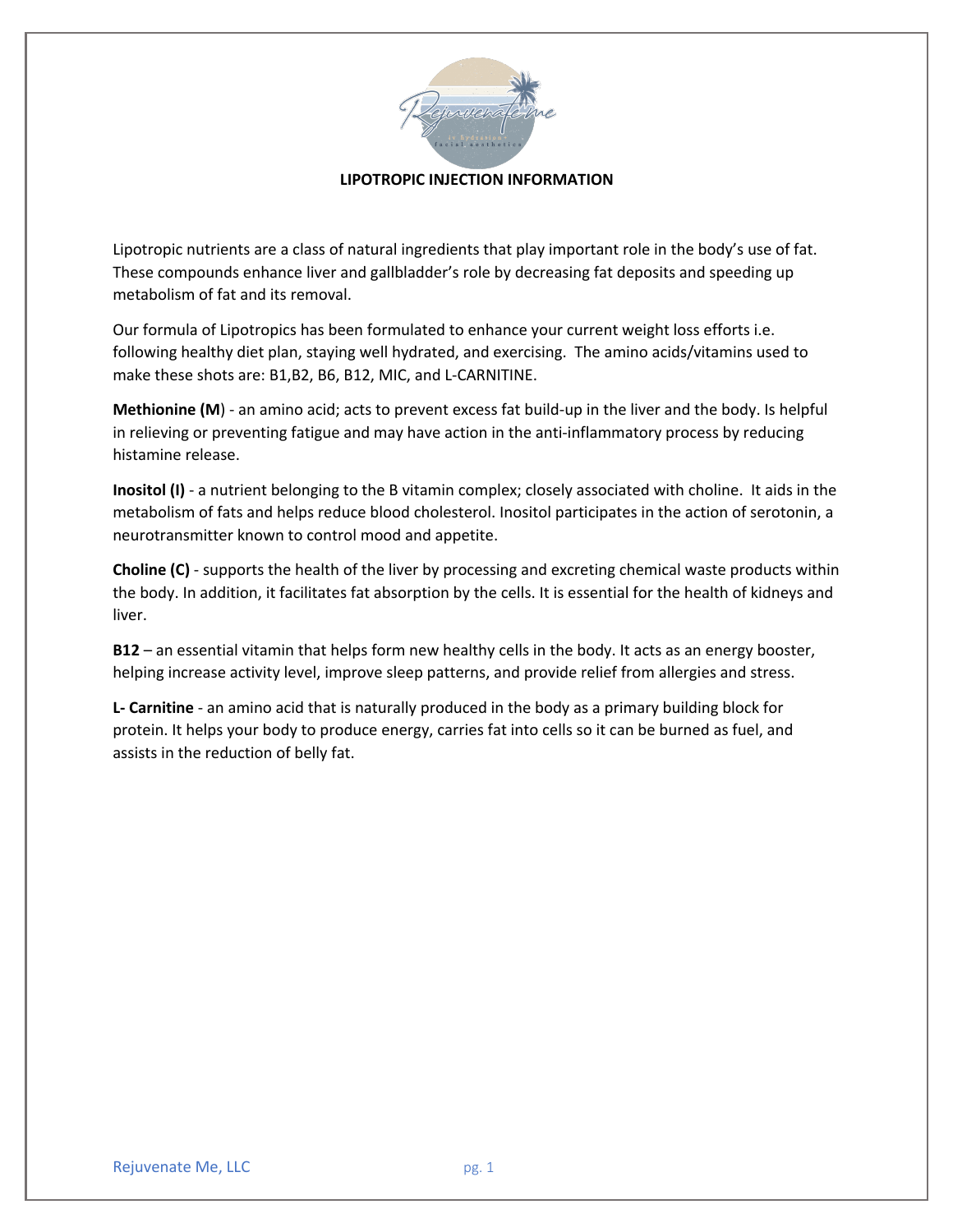

## **LIPOTROPIC INJECTION INFORMATION**

Lipotropic nutrients are a class of natural ingredients that play important role in the body's use of fat. These compounds enhance liver and gallbladder's role by decreasing fat deposits and speeding up metabolism of fat and its removal.

Our formula of Lipotropics has been formulated to enhance your current weight loss efforts i.e. following healthy diet plan, staying well hydrated, and exercising. The amino acids/vitamins used to make these shots are: B1,B2, B6, B12, MIC, and L-CARNITINE.

**Methionine (M**) - an amino acid; acts to prevent excess fat build-up in the liver and the body. Is helpful in relieving or preventing fatigue and may have action in the anti-inflammatory process by reducing histamine release.

**Inositol (I)** - a nutrient belonging to the B vitamin complex; closely associated with choline. It aids in the metabolism of fats and helps reduce blood cholesterol. Inositol participates in the action of serotonin, a neurotransmitter known to control mood and appetite.

**Choline (C)** - supports the health of the liver by processing and excreting chemical waste products within the body. In addition, it facilitates fat absorption by the cells. It is essential for the health of kidneys and liver.

**B12** – an essential vitamin that helps form new healthy cells in the body. It acts as an energy booster, helping increase activity level, improve sleep patterns, and provide relief from allergies and stress.

**L- Carnitine** - an amino acid that is naturally produced in the body as a primary building block for protein. It helps your body to produce energy, carries fat into cells so it can be burned as fuel, and assists in the reduction of belly fat.